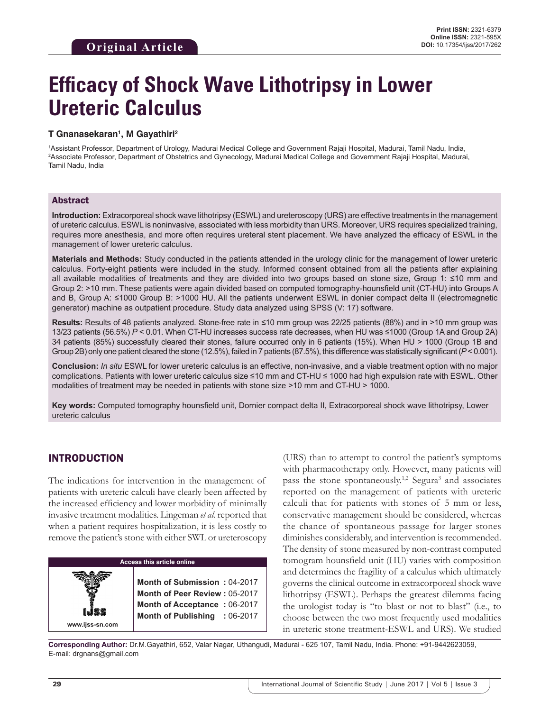# **Efficacy of Shock Wave Lithotripsy in Lower Ureteric Calculus**

#### **T Gnanasekaran1 , M Gayathiri2**

1 Assistant Professor, Department of Urology, Madurai Medical College and Government Rajaji Hospital, Madurai, Tamil Nadu, India, 2 Associate Professor, Department of Obstetrics and Gynecology, Madurai Medical College and Government Rajaji Hospital, Madurai, Tamil Nadu, India

## Abstract

**Introduction:** Extracorporeal shock wave lithotripsy (ESWL) and ureteroscopy (URS) are effective treatments in the management of ureteric calculus. ESWL is noninvasive, associated with less morbidity than URS. Moreover, URS requires specialized training, requires more anesthesia, and more often requires ureteral stent placement. We have analyzed the efficacy of ESWL in the management of lower ureteric calculus.

**Materials and Methods:** Study conducted in the patients attended in the urology clinic for the management of lower ureteric calculus. Forty-eight patients were included in the study. Informed consent obtained from all the patients after explaining all available modalities of treatments and they are divided into two groups based on stone size, Group 1: ≤10 mm and Group 2: >10 mm. These patients were again divided based on computed tomography-hounsfield unit (CT-HU) into Groups A and B, Group A: ≤1000 Group B: >1000 HU. All the patients underwent ESWL in donier compact delta II (electromagnetic generator) machine as outpatient procedure. Study data analyzed using SPSS (V: 17) software.

**Results:** Results of 48 patients analyzed. Stone-free rate in ≤10 mm group was 22/25 patients (88%) and in >10 mm group was 13/23 patients (56.5%) *P* < 0.01. When CT-HU increases success rate decreases, when HU was ≤1000 (Group 1A and Group 2A) 34 patients (85%) successfully cleared their stones, failure occurred only in 6 patients (15%). When HU > 1000 (Group 1B and Group 2B) only one patient cleared the stone (12.5%), failed in 7 patients (87.5%), this difference was statistically significant (*P* < 0.001).

**Conclusion:** *In situ* ESWL for lower ureteric calculus is an effective, non-invasive, and a viable treatment option with no major complications. Patients with lower ureteric calculus size ≤10 mm and CT-HU ≤ 1000 had high expulsion rate with ESWL. Other modalities of treatment may be needed in patients with stone size >10 mm and CT-HU > 1000.

**Key words:** Computed tomography hounsfield unit, Dornier compact delta II, Extracorporeal shock wave lithotripsy, Lower ureteric calculus

# INTRODUCTION

The indications for intervention in the management of patients with ureteric calculi have clearly been affected by the increased efficiency and lower morbidity of minimally invasive treatment modalities. Lingeman *et al.* reported that when a patient requires hospitalization, it is less costly to remove the patient's stone with either SWL or ureteroscopy

# **Access this article online www.ijss-sn.com Month of Submission :** 04-2017 **Month of Peer Review :** 05-2017 **Month of Acceptance :** 06-2017 **Month of Publishing :** 06-2017

(URS) than to attempt to control the patient's symptoms with pharmacotherapy only. However, many patients will pass the stone spontaneously.<sup>1,2</sup> Segura<sup>3</sup> and associates reported on the management of patients with ureteric calculi that for patients with stones of 5 mm or less, conservative management should be considered, whereas the chance of spontaneous passage for larger stones diminishes considerably, and intervention is recommended. The density of stone measured by non-contrast computed tomogram hounsfield unit (HU) varies with composition and determines the fragility of a calculus which ultimately governs the clinical outcome in extracorporeal shock wave lithotripsy (ESWL). Perhaps the greatest dilemma facing the urologist today is "to blast or not to blast" (i.e., to choose between the two most frequently used modalities in ureteric stone treatment-ESWL and URS). We studied

**Corresponding Author:** Dr.M.Gayathiri, 652, Valar Nagar, Uthangudi, Madurai - 625 107, Tamil Nadu, India. Phone: +91-9442623059, E-mail: drgnans@gmail.com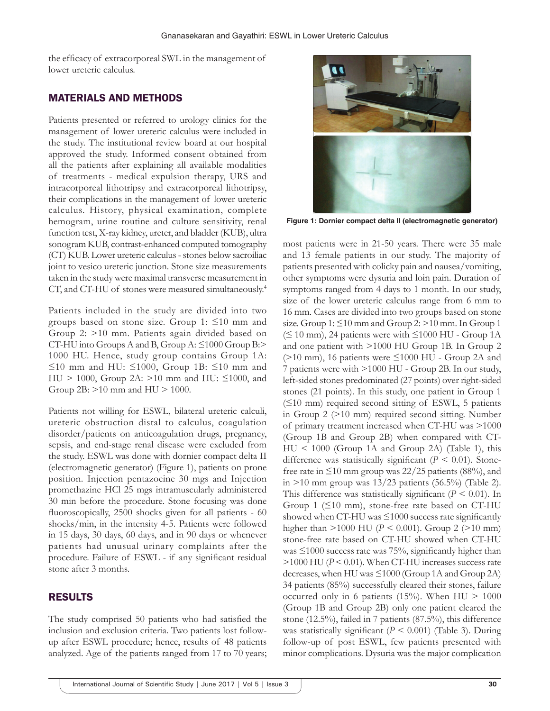the efficacy of extracorporeal SWL in the management of lower ureteric calculus.

## MATERIALS AND METHODS

Patients presented or referred to urology clinics for the management of lower ureteric calculus were included in the study. The institutional review board at our hospital approved the study. Informed consent obtained from all the patients after explaining all available modalities of treatments - medical expulsion therapy, URS and intracorporeal lithotripsy and extracorporeal lithotripsy, their complications in the management of lower ureteric calculus. History, physical examination, complete hemogram, urine routine and culture sensitivity, renal function test, X-ray kidney, ureter, and bladder (KUB), ultra sonogram KUB, contrast-enhanced computed tomography (CT) KUB. Lower ureteric calculus -stones below sacroiliac joint to vesico ureteric junction. Stone size measurements taken in the study were maximal transverse measurement in CT, and CT-HU of stones were measured simultaneously.4

Patients included in the study are divided into two groups based on stone size. Group 1: ≤10 mm and Group 2: >10 mm. Patients again divided based on CT-HU into Groups A and B, Group A: ≤1000 Group B:> 1000 HU. Hence, study group contains Group 1A: ≤10 mm and HU: ≤1000, Group 1B: ≤10 mm and HU > 1000, Group 2A: >10 mm and HU: ≤1000, and Group 2B: >10 mm and HU > 1000.

Patients not willing for ESWL, bilateral ureteric calculi, ureteric obstruction distal to calculus, coagulation disorder/patients on anticoagulation drugs, pregnancy, sepsis, and end-stage renal disease were excluded from the study. ESWL was done with dornier compact delta II (electromagnetic generator) (Figure 1), patients on prone position. Injection pentazocine 30 mgs and Injection promethazine HCl 25 mgs intramuscularly administered 30 min before the procedure. Stone focusing was done fluoroscopically, 2500 shocks given for all patients - 60 shocks/min, in the intensity 4-5. Patients were followed in 15 days, 30 days, 60 days, and in 90 days or whenever patients had unusual urinary complaints after the procedure. Failure of ESWL - if any significant residual stone after 3 months.

## RESULTS

The study comprised 50 patients who had satisfied the inclusion and exclusion criteria. Two patients lost followup after ESWL procedure; hence, results of 48 patients analyzed. Age of the patients ranged from 17 to 70 years;



**Figure 1: Dornier compact delta II (electromagnetic generator)**

most patients were in 21-50 years. There were 35 male and 13 female patients in our study. The majority of patients presented with colicky pain and nausea/vomiting, other symptoms were dysuria and loin pain. Duration of symptoms ranged from 4 days to 1 month. In our study, size of the lower ureteric calculus range from 6 mm to 16 mm. Cases are divided into two groups based on stone size. Group  $1: \leq 10$  mm and Group  $2: \geq 10$  mm. In Group 1  $(\leq 10 \text{ mm})$ , 24 patients were with  $\leq 1000 \text{ HU}$  - Group 1A and one patient with >1000 HU Group 1B. In Group 2  $(>10$  mm), 16 patients were  $\leq 1000$  HU - Group 2A and 7 patients were with >1000 HU - Group 2B. In our study, left-sided stones predominated (27 points) over right-sided stones (21 points). In this study, one patient in Group 1  $(≤10$  mm) required second sitting of ESWL, 5 patients in Group 2 (>10 mm) required second sitting. Number of primary treatment increased when CT-HU was >1000 (Group 1B and Group 2B) when compared with CT-HU < 1000 (Group 1A and Group 2A) (Table 1), this difference was statistically significant ( $P \leq 0.01$ ). Stonefree rate in  $\leq 10$  mm group was 22/25 patients (88%), and in  $>10$  mm group was  $13/23$  patients (56.5%) (Table 2). This difference was statistically significant  $(P \le 0.01)$ . In Group 1 (≤10 mm), stone-free rate based on CT-HU showed when CT-HU was  $\leq 1000$  success rate significantly higher than >1000 HU (*P* < 0.001). Group 2 (>10 mm) stone-free rate based on CT-HU showed when CT-HU was  $\leq 1000$  success rate was 75%, significantly higher than >1000 HU (*P* < 0.01). When CT-HU increases success rate decreases, when HU was ≤1000 (Group 1A and Group 2A) 34 patients (85%) successfully cleared their stones, failure occurred only in 6 patients (15%). When  $HU > 1000$ (Group 1B and Group 2B) only one patient cleared the stone (12.5%), failed in 7 patients (87.5%), this difference was statistically significant (*P* < 0.001) (Table 3). During follow-up of post ESWL, few patients presented with minor complications. Dysuria was the major complication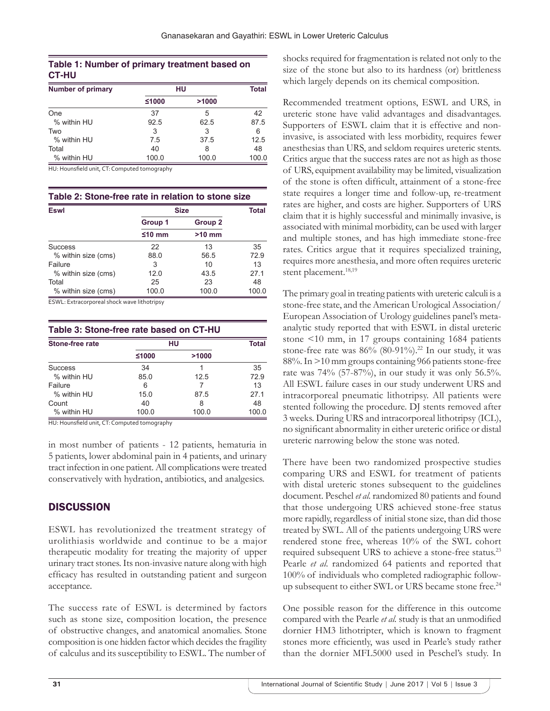# **Table 1: Number of primary treatment based on CT‑HU**

| <b>Number of primary</b> | HU    |       | <b>Total</b> |
|--------------------------|-------|-------|--------------|
|                          | ≤1000 | >1000 |              |
| One                      | 37    | 5     | 42           |
| % within HU              | 92.5  | 62.5  | 87.5         |
| Two                      | 3     | 3     | 6            |
| % within HU              | 7.5   | 37.5  | 12.5         |
| Total                    | 40    | 8     | 48           |
| % within HU              | 100.0 | 100.0 | 100.0        |

HU: Hounsfield unit, CT: Computed tomography

| <b>Eswl</b>         | <b>Size</b> |          | <b>Total</b> |
|---------------------|-------------|----------|--------------|
|                     | Group 1     | Group 2  |              |
|                     | $≤10$ mm    | $>10$ mm |              |
| Success             | 22          | 13       | 35           |
| % within size (cms) | 88.0        | 56.5     | 72.9         |
| Failure             | 3           | 10       | 13           |
| % within size (cms) | 12.0        | 43.5     | 27.1         |
| Total               | 25          | 23       | 48           |
| % within size (cms) | 100.0       | 100.0    | 100.0        |

ESWL: Extracorporeal shock wave lithotripsy

| Table 3: Stone-free rate based on CT-HU |       |       |       |  |  |
|-----------------------------------------|-------|-------|-------|--|--|
| Stone-free rate                         | HU    |       | Total |  |  |
|                                         | ≤1000 | >1000 |       |  |  |
| <b>Success</b>                          | 34    |       | 35    |  |  |
| % within HU                             | 85.0  | 12.5  | 72.9  |  |  |
| Failure                                 | 6     |       | 13    |  |  |
| % within HU                             | 15.0  | 87.5  | 271   |  |  |
| Count                                   | 40    | 8     | 48    |  |  |
| % within HU                             | 100.0 | 100.0 | 100.0 |  |  |

HU: Hounsfield unit, CT: Computed tomography

in most number of patients - 12 patients, hematuria in 5 patients, lower abdominal pain in 4 patients, and urinary tract infection in one patient. All complications were treated conservatively with hydration, antibiotics, and analgesics.

# **DISCUSSION**

ESWL has revolutionized the treatment strategy of urolithiasis worldwide and continue to be a major therapeutic modality for treating the majority of upper urinary tract stones. Its non-invasive nature along with high efficacy has resulted in outstanding patient and surgeon acceptance.

The success rate of ESWL is determined by factors such as stone size, composition location, the presence of obstructive changes, and anatomical anomalies. Stone composition is one hidden factor which decides the fragility of calculus and its susceptibility to ESWL. The number of

shocks required for fragmentation is related not only to the size of the stone but also to its hardness (or) brittleness which largely depends on its chemical composition.

Recommended treatment options, ESWL and URS, in ureteric stone have valid advantages and disadvantages. Supporters of ESWL claim that it is effective and noninvasive, is associated with less morbidity, requires fewer anesthesias than URS, and seldom requires ureteric stents. Critics argue that the success rates are not as high as those of URS, equipment availability may be limited, visualization of the stone is often difficult, attainment of a stone-free state requires a longer time and follow-up, re-treatment rates are higher, and costs are higher. Supporters of URS claim that it is highly successful and minimally invasive, is associated with minimal morbidity, can be used with larger and multiple stones, and has high immediate stone-free rates. Critics argue that it requires specialized training, requires more anesthesia, and more often requires ureteric stent placement.<sup>18,19</sup>

The primary goal in treating patients with ureteric calculi is a stone-free state, and the American Urological Association/ European Association of Urology guidelines panel's metaanalytic study reported that with ESWL in distal ureteric stone <10 mm, in 17 groups containing 1684 patients stone-free rate was 86% (80-91%).<sup>22</sup> In our study, it was 88%. In >10 mm groups containing 966 patients stone-free rate was 74% (57-87%), in our study it was only 56.5%. All ESWL failure cases in our study underwent URS and intracorporeal pneumatic lithotripsy. All patients were stented following the procedure. DJ stents removed after 3 weeks. During URS and intracorporeal lithotripsy (ICL), no significant abnormality in either ureteric orifice or distal ureteric narrowing below the stone was noted.

There have been two randomized prospective studies comparing URS and ESWL for treatment of patients with distal ureteric stones subsequent to the guidelines document. Peschel *et al.* randomized 80 patients and found that those undergoing URS achieved stone-free status more rapidly, regardless of initial stone size, than did those treated by SWL. All of the patients undergoing URS were rendered stone free, whereas 10% of the SWL cohort required subsequent URS to achieve a stone-free status.23 Pearle *et al.* randomized 64 patients and reported that 100% of individuals who completed radiographic followup subsequent to either SWL or URS became stone free.<sup>24</sup>

One possible reason for the difference in this outcome compared with the Pearle *et al.* study is that an unmodified dornier HM3 lithotripter, which is known to fragment stones more efficiently, was used in Pearle's study rather than the dornier MFL5000 used in Peschel's study. In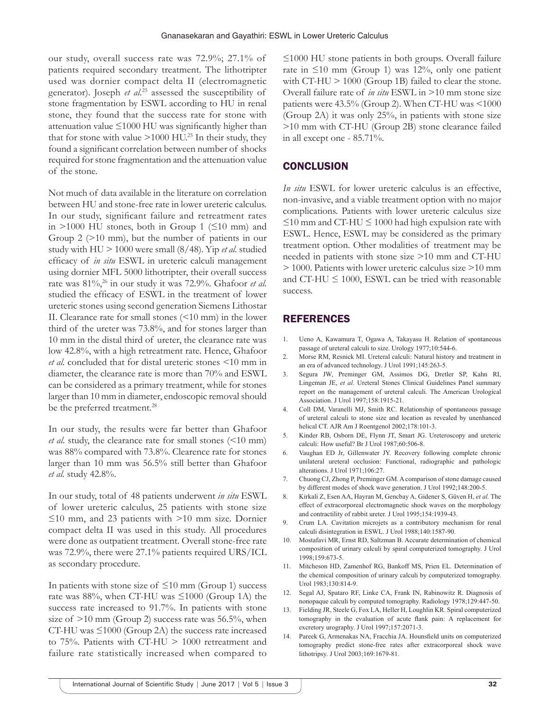our study, overall success rate was 72.9%; 27.1% of patients required secondary treatment. The lithotripter used was dornier compact delta II (electromagnetic generator). Joseph *et al.*25 assessed the susceptibility of stone fragmentation by ESWL according to HU in renal stone, they found that the success rate for stone with attenuation value  $\leq 1000$  HU was significantly higher than that for stone with value  $>1000$  HU.<sup>25</sup> In their study, they found a significant correlation between number of shocks required for stone fragmentation and the attenuation value of the stone.

Not much of data available in the literature on correlation between HU and stone-free rate in lower ureteric calculus. In our study, significant failure and retreatment rates in >1000 HU stones, both in Group 1 ( $\leq$ 10 mm) and Group 2 (>10 mm), but the number of patients in our study with HU > 1000 were small (8/48). Yip *et al.* studied efficacy of *in situ* ESWL in ureteric calculi management using dornier MFL 5000 lithotripter, their overall success rate was 81%,26 in our study it was 72.9%. Ghafoor *et al.* studied the efficacy of ESWL in the treatment of lower ureteric stones using second generation Siemens Lithostar ІІ. Clearance rate for small stones (<10 mm) in the lower third of the ureter was 73.8%, and for stones larger than 10 mm in the distal third of ureter, the clearance rate was low 42.8%, with a high retreatment rate. Hence, Ghafoor *et al.* concluded that for distal ureteric stones <10 mm in diameter, the clearance rate is more than 70% and ESWL can be considered as a primary treatment, while for stones larger than 10 mm in diameter, endoscopic removal should be the preferred treatment.<sup>28</sup>

In our study, the results were far better than Ghafoor *et al.* study, the clearance rate for small stones (<10 mm) was 88% compared with 73.8%. Clearence rate for stones larger than 10 mm was 56.5% still better than Ghafoor *et al.* study 42.8%.

In our study, total of 48 patients underwent *in situ* ESWL of lower ureteric calculus, 25 patients with stone size ≤10 mm, and 23 patients with >10 mm size. Dornier compact delta II was used in this study. All procedures were done as outpatient treatment. Overall stone-free rate was 72.9%, there were 27.1% patients required URS/ICL as secondary procedure.

In patients with stone size of  $\leq 10$  mm (Group 1) success rate was 88%, when CT-HU was ≤1000 (Group 1A) the success rate increased to 91.7%. In patients with stone size of  $>10$  mm (Group 2) success rate was 56.5%, when CT-HU was ≤1000 (Group 2A) the success rate increased to 75%. Patients with CT-HU > 1000 retreatment and failure rate statistically increased when compared to

≤1000 HU stone patients in both groups. Overall failure rate in  $\leq 10$  mm (Group 1) was 12%, only one patient with CT-HU > 1000 (Group 1B) failed to clear the stone. Overall failure rate of *in situ* ESWL in >10 mm stone size patients were 43.5% (Group 2). When CT-HU was <1000 (Group 2A) it was only 25%, in patients with stone size >10 mm with CT-HU (Group 2B) stone clearance failed in all except one - 85.71%.

#### **CONCLUSION**

*In situ* ESWL for lower ureteric calculus is an effective, non-invasive, and a viable treatment option with no major complications. Patients with lower ureteric calculus size  $\leq$ 10 mm and CT-HU  $\leq$  1000 had high expulsion rate with ESWL. Hence, ESWL may be considered as the primary treatment option. Other modalities of treatment may be needed in patients with stone size >10 mm and CT-HU > 1000. Patients with lower ureteric calculus size >10 mm and CT-HU  $\leq$  1000, ESWL can be tried with reasonable success.

#### REFERENCES

- 1. Ueno A, Kawamura T, Ogawa A, Takayasu H. Relation of spontaneous passage of ureteral calculi to size. Urology 1977;10:544-6.
- 2. Morse RM, Resnick MI. Ureteral calculi: Natural history and treatment in an era of advanced technology. J Urol 1991;145:263-5.
- 3. Segura JW, Preminger GM, Assimos DG, Dretler SP, Kahn RI, Lingeman JE, *et al.* Ureteral Stones Clinical Guidelines Panel summary report on the management of ureteral calculi. The American Urological Association. J Urol 1997;158:1915-21.
- 4. Coll DM, Varanelli MJ, Smith RC. Relationship of spontaneous passage of ureteral calculi to stone size and location as revealed by unenhanced helical CT. AJR Am J Roentgenol 2002;178:101-3.
- 5. Kinder RB, Osborn DE, Flynn JT, Smart JG. Ureteroscopy and ureteric calculi: How useful? Br J Urol 1987;60:506-8.
- 6. Vaughan ED Jr, Gillenwater JY. Recovery following complete chronic unilateral ureteral occlusion: Functional, radiographic and pathologic alterations. J Urol 1971;106:27.
- 7. Chuong CJ, Zhong P, Preminger GM. Acomparison of stone damage caused by different modes of shock wave generation. J Urol 1992;148:200-5.
- 8. Kirkali Z, Esen AA, Hayran M, Gencbay A, Gidener S, Güven H, *et al.* The effect of extracorporeal electromagnetic shock waves on the morphology and contractility of rabbit ureter. J Urol 1995;154:1939-43.
- 9. Crum LA. Cavitation microjets as a contributory mechanism for renal calculi disintegration in ESWL. J Urol 1988;140:1587-90.
- 10. Mostafavi MR, Ernst RD, Saltzman B. Accurate determination of chemical composition of urinary calculi by spiral computerized tomography. J Urol 1998;159:673-5.
- 11. Mitcheson HD, Zamenhof RG, Bankoff MS, Prien EL. Determination of the chemical composition of urinary calculi by computerized tomography. Urol 1983;130:814-9.
- 12. Segal AJ, Spataro RF, Linke CA, Frank IN, Rabinowitz R. Diagnosis of nonopaque calculi by computed tomography. Radiology 1978;129:447-50.
- 13. Fielding JR, Steele G, Fox LA, Heller H, Loughlin KR. Spiral computerized tomography in the evaluation of acute flank pain: A replacement for excretory urography. J Urol 1997;157:2071-3.
- 14. Pareek G, Armenakas NA, Fracchia JA. Hounsfield units on computerized tomography predict stone-free rates after extracorporeal shock wave lithotripsy. J Urol 2003;169:1679-81.